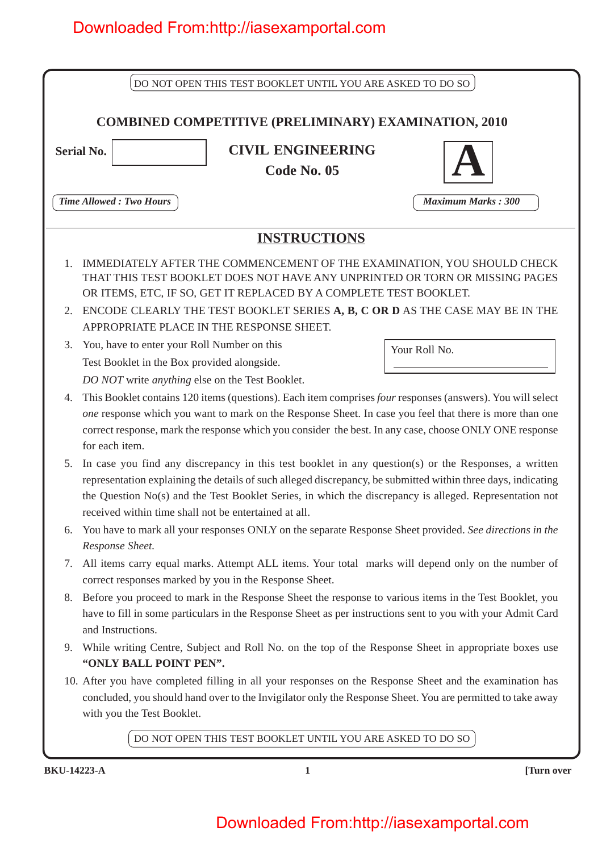|                                | DO NOT OPEN THIS TEST BOOKLET UNTIL YOU ARE ASKED TO DO SO                                                                                                                                                                                                                                                                                                                                |                           |  |  |  |
|--------------------------------|-------------------------------------------------------------------------------------------------------------------------------------------------------------------------------------------------------------------------------------------------------------------------------------------------------------------------------------------------------------------------------------------|---------------------------|--|--|--|
|                                | <b>COMBINED COMPETITIVE (PRELIMINARY) EXAMINATION, 2010</b>                                                                                                                                                                                                                                                                                                                               |                           |  |  |  |
| <b>Serial No.</b>              | <b>CIVIL ENGINEERING</b>                                                                                                                                                                                                                                                                                                                                                                  |                           |  |  |  |
|                                | Code No. 05                                                                                                                                                                                                                                                                                                                                                                               |                           |  |  |  |
| <b>Time Allowed: Two Hours</b> |                                                                                                                                                                                                                                                                                                                                                                                           | <b>Maximum Marks: 300</b> |  |  |  |
|                                | <b>INSTRUCTIONS</b>                                                                                                                                                                                                                                                                                                                                                                       |                           |  |  |  |
| $\mathbf{1}$ .<br>2.           | IMMEDIATELY AFTER THE COMMENCEMENT OF THE EXAMINATION, YOU SHOULD CHECK<br>THAT THIS TEST BOOKLET DOES NOT HAVE ANY UNPRINTED OR TORN OR MISSING PAGES<br>OR ITEMS, ETC, IF SO, GET IT REPLACED BY A COMPLETE TEST BOOKLET.<br>ENCODE CLEARLY THE TEST BOOKLET SERIES A, B, C OR D AS THE CASE MAY BE IN THE<br>APPROPRIATE PLACE IN THE RESPONSE SHEET.                                  |                           |  |  |  |
| 3.                             | You, have to enter your Roll Number on this                                                                                                                                                                                                                                                                                                                                               | Your Roll No.             |  |  |  |
|                                | Test Booklet in the Box provided alongside.<br>DO NOT write anything else on the Test Booklet.                                                                                                                                                                                                                                                                                            |                           |  |  |  |
| 4.<br>for each item.           | This Booklet contains 120 items (questions). Each item comprises four responses (answers). You will select<br>one response which you want to mark on the Response Sheet. In case you feel that there is more than one<br>correct response, mark the response which you consider the best. In any case, choose ONLY ONE response                                                           |                           |  |  |  |
| 5.                             | In case you find any discrepancy in this test booklet in any question(s) or the Responses, a written<br>representation explaining the details of such alleged discrepancy, be submitted within three days, indicating<br>the Question No(s) and the Test Booklet Series, in which the discrepancy is alleged. Representation not<br>received within time shall not be entertained at all. |                           |  |  |  |
| 6.<br>Response Sheet.          | You have to mark all your responses ONLY on the separate Response Sheet provided. See directions in the                                                                                                                                                                                                                                                                                   |                           |  |  |  |
| 7.                             | All items carry equal marks. Attempt ALL items. Your total marks will depend only on the number of<br>correct responses marked by you in the Response Sheet.                                                                                                                                                                                                                              |                           |  |  |  |
| 8.<br>and Instructions.        | Before you proceed to mark in the Response Sheet the response to various items in the Test Booklet, you<br>have to fill in some particulars in the Response Sheet as per instructions sent to you with your Admit Card                                                                                                                                                                    |                           |  |  |  |
| 9.<br>"ONLY BALL POINT PEN".   | While writing Centre, Subject and Roll No. on the top of the Response Sheet in appropriate boxes use                                                                                                                                                                                                                                                                                      |                           |  |  |  |
| with you the Test Booklet.     | 10. After you have completed filling in all your responses on the Response Sheet and the examination has<br>concluded, you should hand over to the Invigilator only the Response Sheet. You are permitted to take away                                                                                                                                                                    |                           |  |  |  |
|                                | DO NOT OPEN THIS TEST BOOKLET UNTIL YOU ARE ASKED TO DO SO                                                                                                                                                                                                                                                                                                                                |                           |  |  |  |
| <b>BKU-14223-A</b>             | $\mathbf{1}$                                                                                                                                                                                                                                                                                                                                                                              | [Turn over                |  |  |  |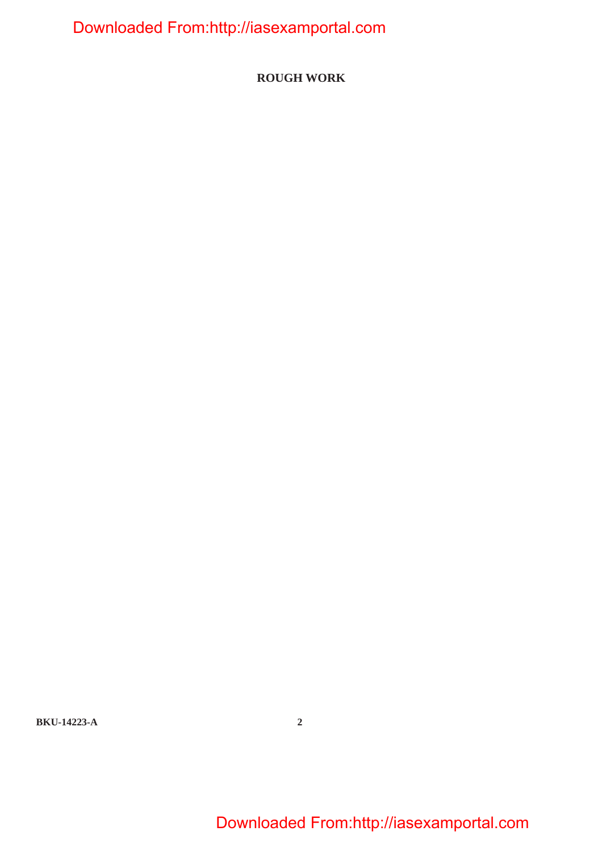**ROUGH WORK**

**BKU-14223-A 2**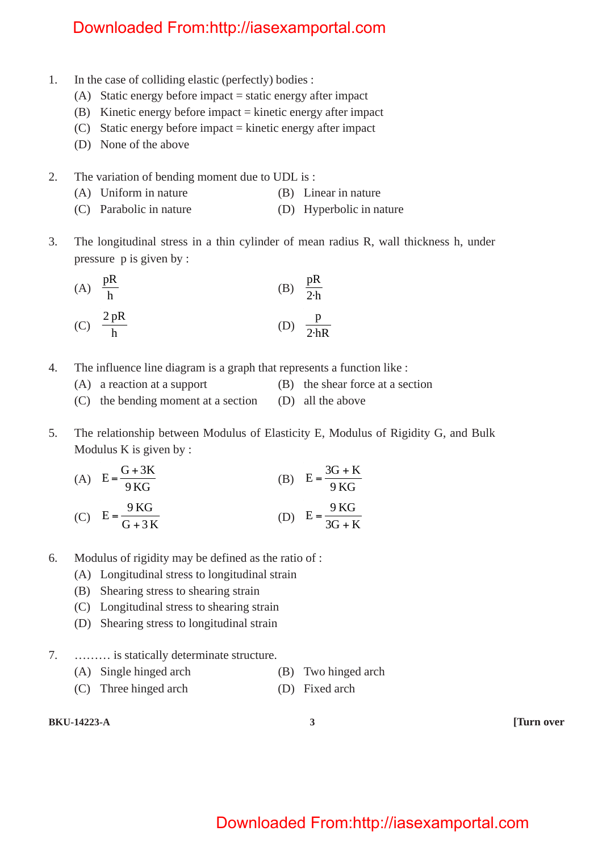- 1. In the case of colliding elastic (perfectly) bodies :
	- (A) Static energy before impact = static energy after impact
	- (B) Kinetic energy before impact = kinetic energy after impact
	- (C) Static energy before impact = kinetic energy after impact
	- (D) None of the above
- 2. The variation of bending moment due to UDL is :
	- (A) Uniform in nature (B) Linear in nature
	- (C) Parabolic in nature (D) Hyperbolic in nature
- 3. The longitudinal stress in a thin cylinder of mean radius R, wall thickness h, under pressure p is given by :

(A) 
$$
\frac{pR}{h}
$$
 (B)  $\frac{pR}{2h}$   
(C)  $\frac{2pR}{h}$  (D)  $\frac{p}{2hR}$ 

- 4. The influence line diagram is a graph that represents a function like :
	- (A) a reaction at a support (B) the shear force at a section
	- (C) the bending moment at a section (D) all the above
- 5. The relationship between Modulus of Elasticity E, Modulus of Rigidity G, and Bulk Modulus K is given by :

(A) 
$$
E = \frac{G + 3K}{9KG}
$$
  
(B) 
$$
E = \frac{3G + K}{9KG}
$$
  
(C) 
$$
Q = \frac{9KG}{9KG}
$$

(C) 
$$
E = \frac{9KG}{G + 3K}
$$
 (D)  $E = \frac{9KG}{3G + K}$ 

- 6. Modulus of rigidity may be defined as the ratio of :
	- (A) Longitudinal stress to longitudinal strain
	- (B) Shearing stress to shearing strain
	- (C) Longitudinal stress to shearing strain
	- (D) Shearing stress to longitudinal strain
- 7. ……… is statically determinate structure.
	- (A) Single hinged arch (B) Two hinged arch
	- (C) Three hinged arch (D) Fixed arch

**BKU-14223-A 3 [Turn over**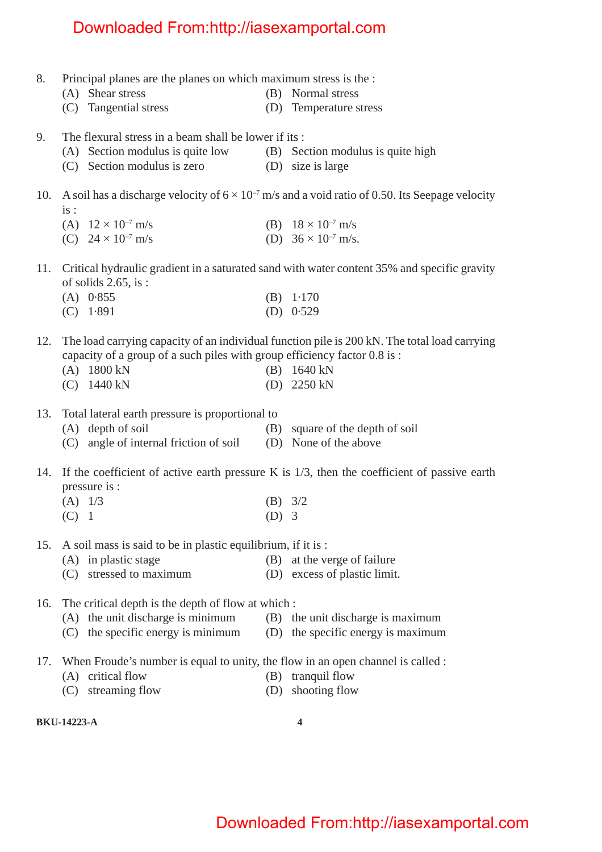- 8. Principal planes are the planes on which maximum stress is the :
	- (A) Shear stress (B) Normal stress
	- (C) Tangential stress (D) Temperature stress
- 9. The flexural stress in a beam shall be lower if its :
	- (A) Section modulus is quite low (B) Section modulus is quite high
	- (C) Section modulus is zero (D) size is large
- 10. A soil has a discharge velocity of  $6 \times 10^{-7}$  m/s and a void ratio of 0.50. Its Seepage velocity  $i_s$ :
	- (A)  $12 \times 10^{-7}$  m/s (B)  $18 \times 10^{-7}$  m/s (C)  $24 \times 10^{-7}$  m/s (D)  $36 \times 10^{-7}$  m/s.
	-
- 11. Critical hydraulic gradient in a saturated sand with water content 35% and specific gravity of solids 2.65, is :
	- (A) 0·855 (B) 1·170 (C) 1·891 (D) 0·529
- 12. The load carrying capacity of an individual function pile is 200 kN. The total load carrying capacity of a group of a such piles with group efficiency factor 0.8 is :
	- (A) 1800 kN (B) 1640 kN
	- (C) 1440 kN (D) 2250 kN
- 13. Total lateral earth pressure is proportional to
	- (A) depth of soil (B) square of the depth of soil (C) angle of internal friction of soil (D) None of the above
- 14. If the coefficient of active earth pressure K is 1/3, then the coefficient of passive earth pressure is :
	- (A) 1/3 (B) 3/2
	- $(C)$  1 (D) 3
- 15. A soil mass is said to be in plastic equilibrium, if it is :
	- (A) in plastic stage (B) at the verge of failure
	- (C) stressed to maximum (D) excess of plastic limit.
- 16. The critical depth is the depth of flow at which :
	- (A) the unit discharge is minimum (B) the unit discharge is maximum
		- (C) the specific energy is minimum (D) the specific energy is maximum
- 17. When Froude's number is equal to unity, the flow in an open channel is called :
	- (A) critical flow (B) tranquil flow
		-
	- (C) streaming flow (D) shooting flow

**BKU-14223-A 4**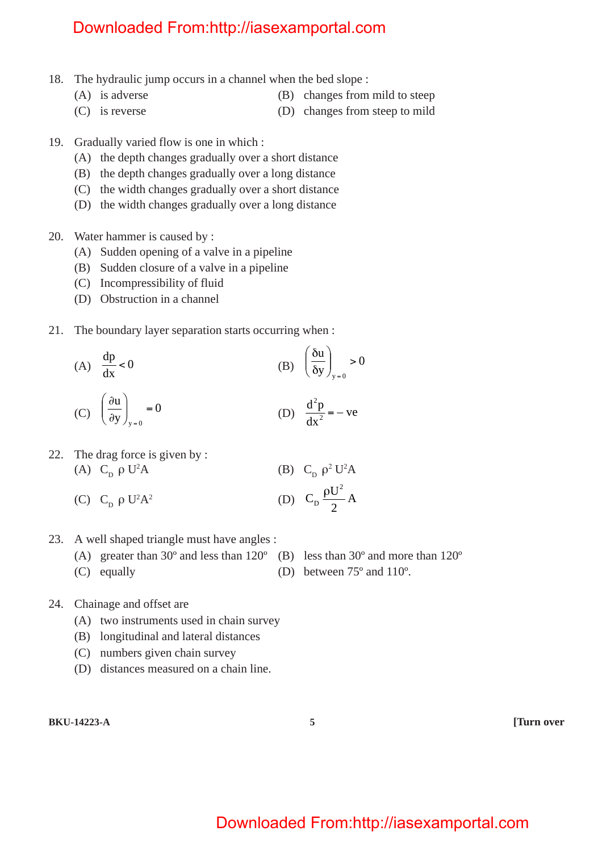- 18. The hydraulic jump occurs in a channel when the bed slope :
	- (A) is adverse (B) changes from mild to steep
	- (C) is reverse (D) changes from steep to mild
- 19. Gradually varied flow is one in which :
	- (A) the depth changes gradually over a short distance
	- (B) the depth changes gradually over a long distance
	- (C) the width changes gradually over a short distance
	- (D) the width changes gradually over a long distance
- 20. Water hammer is caused by :
	- (A) Sudden opening of a valve in a pipeline
	- (B) Sudden closure of a valve in a pipeline
	- (C) Incompressibility of fluid
	- (D) Obstruction in a channel
- 21. The boundary layer separation starts occurring when :

(A) 
$$
\frac{dp}{dx} < 0
$$
 (B)  $\left(\frac{\delta u}{\delta y}\right)_{y=0} > 0$ 

(C) 
$$
\left(\frac{\partial u}{\partial y}\right)_{y=0} = 0
$$
 (D)  $\frac{d^2 p}{dx^2} = -ve$ 

22. The drag force is given by :  
\n(A) 
$$
C_D \rho U^2 A
$$
 (B)  $C_D \rho^2 U^2 A$ 

- (C)  $C_p \rho U^2 A^2$  $A^2$  (D)  $C_p \frac{\rho c}{2} A$  $C_p \frac{\rho U^2}{2}$ D
- 23. A well shaped triangle must have angles :
	- (A) greater than 30º and less than 120º (B) less than 30º and more than 120º
	- (C) equally (D) between 75º and 110º.
- 24. Chainage and offset are
	- (A) two instruments used in chain survey
	- (B) longitudinal and lateral distances
	- (C) numbers given chain survey
	- (D) distances measured on a chain line.
- **BKU-14223-A 5 [Turn over**

2

ρ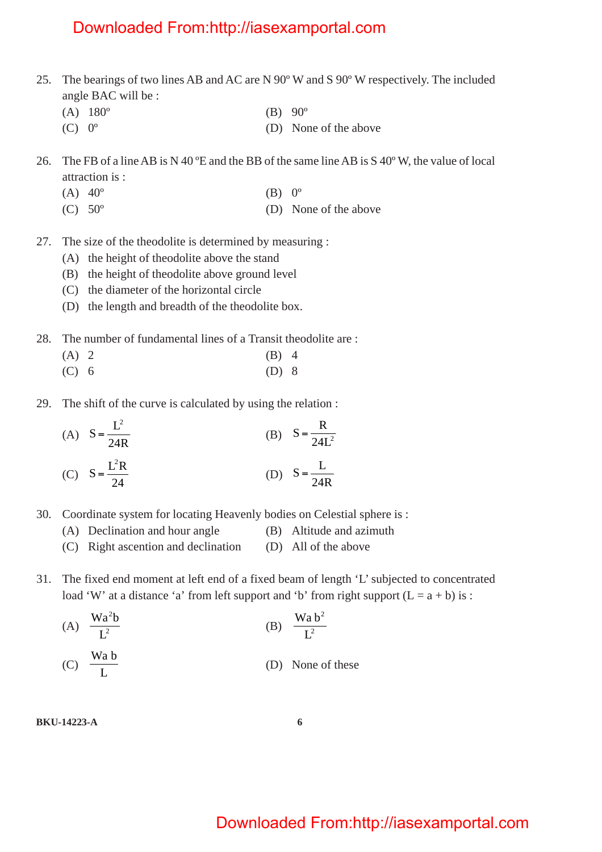- 25. The bearings of two lines AB and AC are N 90º W and S 90º W respectively. The included angle BAC will be :
	- (A)  $180^{\circ}$  (B)  $90^{\circ}$
	- (C)  $0^{\circ}$  (D) None of the above
- 26. The FB of a line AB is N 40 ºE and the BB of the same line AB is S 40º W, the value of local attraction is :
	- (A)  $40^{\circ}$  (B)  $0^{\circ}$
	- (C) 50º (D) None of the above
- 27. The size of the theodolite is determined by measuring :
	- (A) the height of theodolite above the stand
	- (B) the height of theodolite above ground level
	- (C) the diameter of the horizontal circle
	- (D) the length and breadth of the theodolite box.
- 28. The number of fundamental lines of a Transit theodolite are :
	- $(A)$  2 (B) 4
	- (C) 6 (D) 8
- 29. The shift of the curve is calculated by using the relation :

(A) 
$$
S = \frac{L^2}{24R}
$$
  
\n(B)  $S = \frac{R}{24L^2}$   
\n(C)  $S = \frac{L^2R}{24}$   
\n(D)  $S = \frac{L}{24R}$ 

- 30. Coordinate system for locating Heavenly bodies on Celestial sphere is :
	- (A) Declination and hour angle (B) Altitude and azimuth
	- (C) Right ascention and declination (D) All of the above
- 31. The fixed end moment at left end of a fixed beam of length 'L' subjected to concentrated load 'W' at a distance 'a' from left support and 'b' from right support  $(L = a + b)$  is :

(A) 
$$
\frac{Wa^2b}{L^2}
$$
 (B)  $\frac{Wa b^2}{L^2}$ 

(D) None of these

#### **BKU-14223-A 6**

 $(C)$   $\frac{1}{L}$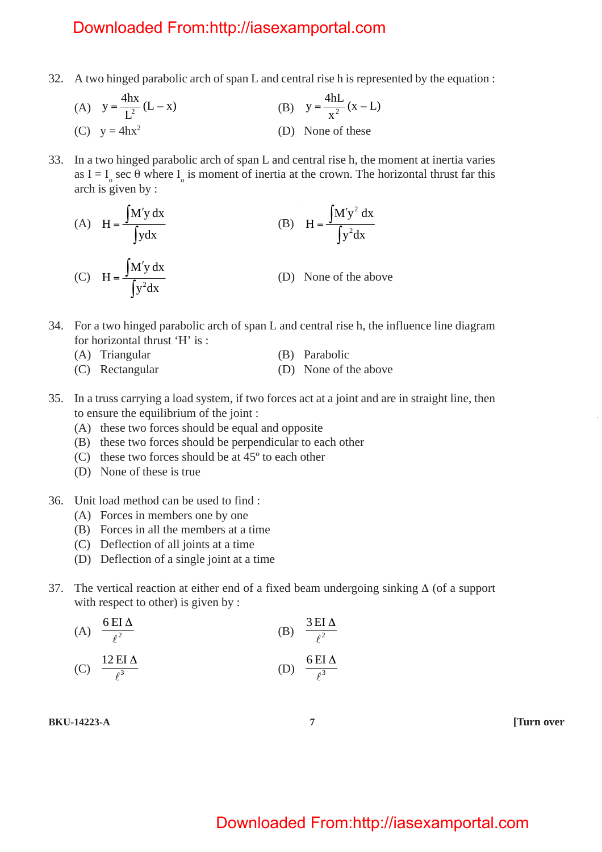- 32. A two hinged parabolic arch of span L and central rise h is represented by the equation :
	- (A)  $y = \frac{4hx}{L^2}(L x)$  $y = \frac{mx}{L^2}(L - x)$  (B)  $y = \frac{mx}{x^2}(x - L)$  $y = \frac{4hL}{r^2}$ (C)  $y = 4hx^2$  (D) None of these
- 33. In a two hinged parabolic arch of span L and central rise h, the moment at inertia varies as I =  $I_0$  sec  $\theta$  where  $I_0$  is moment of inertia at the crown. The horizontal thrust far this arch is given by :

(A) 
$$
H = \frac{\int M' y dx}{\int y dx}
$$
 (B)  $H = \frac{\int M' y^2 dx}{\int y^2 dx}$ 

- (C)  $H = \frac{\int M' y dx}{\int y^2 dx}$  $H =$ (D) None of the above
- 34. For a two hinged parabolic arch of span L and central rise h, the influence line diagram for horizontal thrust 'H' is :
	- (A) Triangular (B) Parabolic
	- (C) Rectangular (D) None of the above
- 35. In a truss carrying a load system, if two forces act at a joint and are in straight line, then to ensure the equilibrium of the joint :
	- (A) these two forces should be equal and opposite
	- (B) these two forces should be perpendicular to each other
	- (C) these two forces should be at 45º to each other
	- (D) None of these is true
- 36. Unit load method can be used to find :
	- (A) Forces in members one by one
	- (B) Forces in all the members at a time
	- (C) Deflection of all joints at a time
	- (D) Deflection of a single joint at a time
- 37. The vertical reaction at either end of a fixed beam undergoing sinking ∆ (of a support with respect to other) is given by :

(A) 
$$
\frac{6EI\Delta}{\ell^2}
$$
 (B)  $\frac{3EI\Delta}{\ell^2}$   
(C) 12EI\Delta (D) 6EI\Delta

(C) 
$$
\frac{12 \text{ EI } \Delta}{\ell^3}
$$
 (D)  $\frac{6 \text{ EI}}{\ell^3}$ 

**BKU-14223-A 7 [Turn over**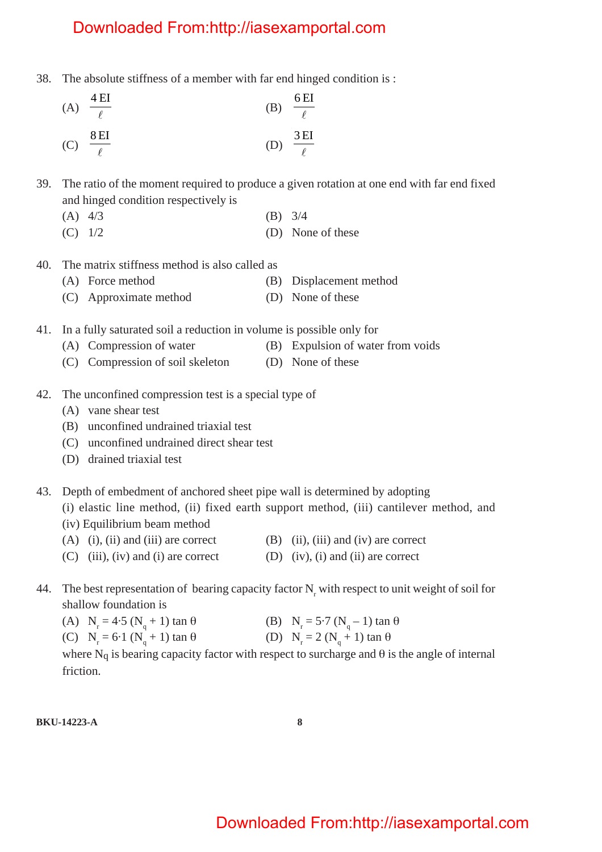38. The absolute stiffness of a member with far end hinged condition is :

(A) 
$$
\frac{4 \text{ EI}}{\ell}
$$
 (B)  $\frac{6 \text{ EI}}{\ell}$   
(C)  $\frac{8 \text{ EI}}{\ell}$  (D)  $\frac{3 \text{ EI}}{\ell}$ 

39. The ratio of the moment required to produce a given rotation at one end with far end fixed and hinged condition respectively is

- $(A)$  4/3 (B) 3/4
- $(C)$  1/2 (D) None of these
- 40. The matrix stiffness method is also called as
	- (A) Force method (B) Displacement method
	- (C) Approximate method (D) None of these
- 41. In a fully saturated soil a reduction in volume is possible only for
	- (A) Compression of water (B) Expulsion of water from voids
	- (C) Compression of soil skeleton (D) None of these
- 42. The unconfined compression test is a special type of
	- (A) vane shear test
	- (B) unconfined undrained triaxial test
	- (C) unconfined undrained direct shear test
	- (D) drained triaxial test
- 43. Depth of embedment of anchored sheet pipe wall is determined by adopting
	- (i) elastic line method, (ii) fixed earth support method, (iii) cantilever method, and (iv) Equilibrium beam method
	- (A) (i), (ii) and (iii) are correct (B) (ii), (iii) and (iv) are correct
	- (C) (iii), (iv) and (i) are correct (D) (iv), (i) and (ii) are correct
- 44. The best representation of bearing capacity factor  $N_r$  with respect to unit weight of soil for shallow foundation is

| (A) $N_r = 4.5 (N_q + 1) \tan \theta$ | (B) $N_r = 5.7 (N_q - 1) \tan \theta$ |
|---------------------------------------|---------------------------------------|
| (C) $N_r = 6.1 (N_q + 1) \tan \theta$ | (D) $N_r = 2 (N_a + 1) \tan \theta$   |

where  $N_q$  is bearing capacity factor with respect to surcharge and  $\theta$  is the angle of internal friction.

#### **BKU-14223-A 8**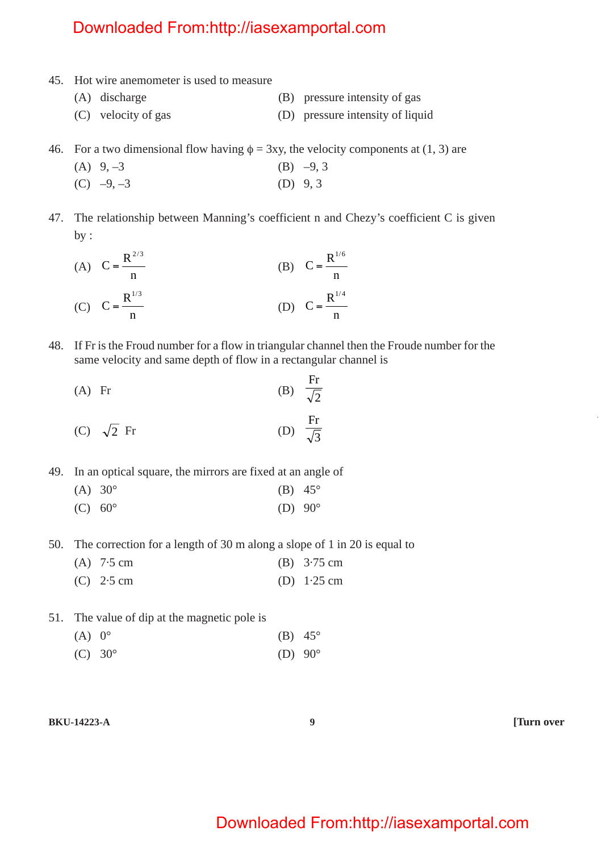- 45. Hot wire anemometer is used to measure
	- (A) discharge (B) pressure intensity of gas (C) velocity of gas (D) pressure intensity of liquid
	-
- 46. For a two dimensional flow having  $\phi = 3xy$ , the velocity components at (1, 3) are
	- (A)  $9, -3$  (B)  $-9, 3$
	- $(C)$  –9, –3 (D) 9, 3
- 47. The relationship between Manning's coefficient n and Chezy's coefficient C is given by :
	- (A) n  $C = \frac{R^{2/3}}{2}$  $=\frac{1}{\sqrt{2}}$  (B) n  $C = \frac{R^{1/6}}{1}$ = (C) n  $C = \frac{R^{1/3}}{1}$  $=\frac{R}{I}$  (D) n  $C = \frac{R^{1/4}}{1}$ =
- 48. If Fr is the Froud number for a flow in triangular channel then the Froude number for the same velocity and same depth of flow in a rectangular channel is
	- (A) Fr (B)  $\sqrt{2}$ Fr (C)  $\sqrt{2}$  Fr (D)  $\frac{Fr}{\sqrt{3}}$
- 49. In an optical square, the mirrors are fixed at an angle of
	- (A)  $30^{\circ}$  (B)  $45^{\circ}$ (C)  $60^{\circ}$  (D)  $90^{\circ}$
- 50. The correction for a length of 30 m along a slope of 1 in 20 is equal to
	- (A) 7·5 cm (B) 3·75 cm (C) 2·5 cm (D) 1·25 cm
- 51. The value of dip at the magnetic pole is
	- (A)  $0^{\circ}$  (B)  $45^{\circ}$
	- (C)  $30^{\circ}$  (D)  $90^{\circ}$

**BKU-14223-A 9 [Turn over**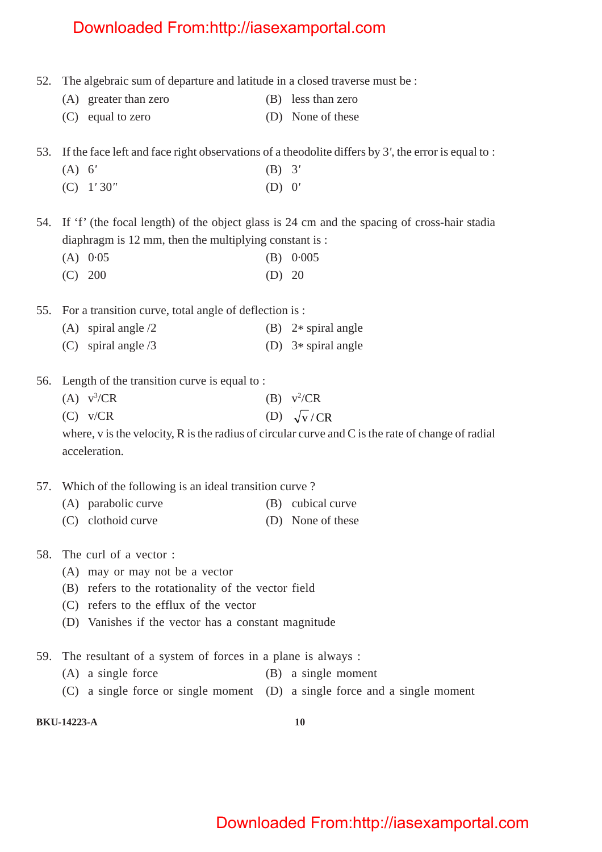- 52. The algebraic sum of departure and latitude in a closed traverse must be :
	- (A) greater than zero (B) less than zero
	- (C) equal to zero (D) None of these

53. If the face left and face right observations of a theodolite differs by 3*'*, the error is equal to :

- (A) 6*'* (B) 3*'*
- (C) 1*'* 30*"* (D) 0*'*

54. If 'f' (the focal length) of the object glass is 24 cm and the spacing of cross-hair stadia diaphragm is 12 mm, then the multiplying constant is :

- (A) 0·05 (B) 0·005 (C) 200 (D) 20
- 55. For a transition curve, total angle of deflection is :
	- (A) spiral angle  $/2$  (B)  $2*$  spiral angle (C) spiral angle /3 (D) 3\* spiral angle
- 56. Length of the transition curve is equal to :
	- $(A)$  v<sup>3</sup>/CR  $/CR$  (B)  $v^2/CR$ (C)  $v/CR$  (D)  $\sqrt{v}/CR$

where, v is the velocity, R is the radius of circular curve and C is the rate of change of radial acceleration.

- 57. Which of the following is an ideal transition curve ?
	- (A) parabolic curve (B) cubical curve
	- (C) clothoid curve (D) None of these
- 58. The curl of a vector :
	- (A) may or may not be a vector
	- (B) refers to the rotationality of the vector field
	- (C) refers to the efflux of the vector
	- (D) Vanishes if the vector has a constant magnitude
- 59. The resultant of a system of forces in a plane is always :
	- (A) a single force (B) a single moment
	- (C) a single force or single moment (D) a single force and a single moment

**BKU-14223-A 10**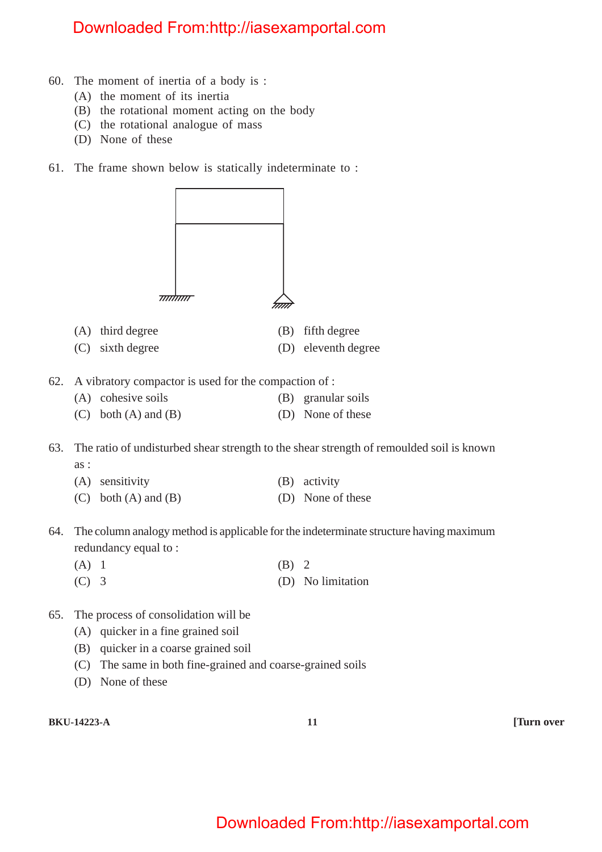- 60. The moment of inertia of a body is :
	- (A) the moment of its inertia
	- (B) the rotational moment acting on the body
	- (C) the rotational analogue of mass
	- (D) None of these
- 61. The frame shown below is statically indeterminate to :



- (A) third degree (B) fifth degree
- (C) sixth degree (D) eleventh degree
- 62. A vibratory compactor is used for the compaction of :
	- (A) cohesive soils (B) granular soils (C) both  $(A)$  and  $(B)$  (D) None of these
- 63. The ratio of undisturbed shear strength to the shear strength of remoulded soil is known as :
	- (A) sensitivity (B) activity
	- (C) both  $(A)$  and  $(B)$  (D) None of these
- 64. The column analogy method is applicable for the indeterminate structure having maximum redundancy equal to :
	- (A) 1 (B) 2
	- (C) 3 (D) No limitation
- 65. The process of consolidation will be
	- (A) quicker in a fine grained soil
	- (B) quicker in a coarse grained soil
	- (C) The same in both fine-grained and coarse-grained soils
	- (D) None of these

**BKU-14223-A 11 [Turn over**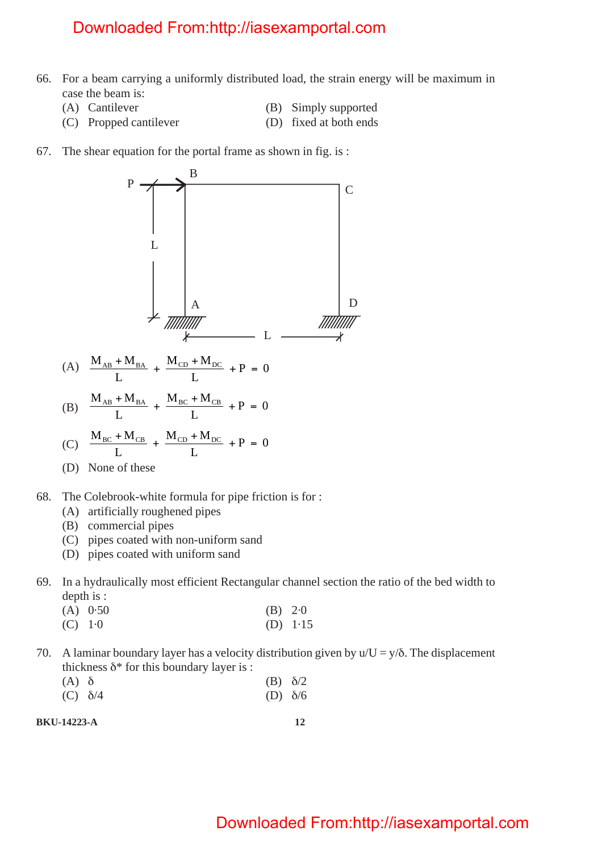- 66. For a beam carrying a uniformly distributed load, the strain energy will be maximum in case the beam is:
	-
	-
	- (A) Cantilever (B) Simply supported
	- (C) Propped cantilever (D) fixed at both ends
- 67. The shear equation for the portal frame as shown in fig. is :



- (B) commercial pipes
- (C) pipes coated with non-uniform sand
- (D) pipes coated with uniform sand
- 69. In a hydraulically most efficient Rectangular channel section the ratio of the bed width to depth is :
	- (A) 0·50 (B) 2·0
	- (C) 1·0 (D) 1·15
- 70. A laminar boundary layer has a velocity distribution given by  $u/U = v/\delta$ . The displacement thickness  $\delta^*$  for this boundary layer is :
	- (A)  $\delta$  (B)  $\delta/2$ (C)  $\delta/4$  (D)  $\delta/6$
	-

**BKU-14223-A 12**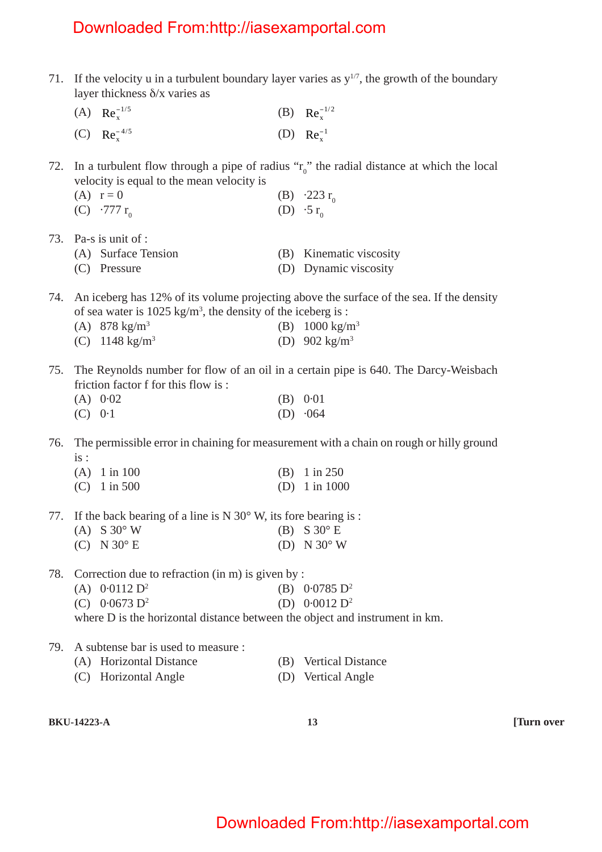| 71. | If the velocity u in a turbulent boundary layer varies as $y^{1/7}$ , the growth of the boundary<br>layer thickness $\delta$ /x varies as                           |     |                           |  |  |
|-----|---------------------------------------------------------------------------------------------------------------------------------------------------------------------|-----|---------------------------|--|--|
|     | (A) $Re_x^{-1/5}$                                                                                                                                                   |     | (B) $Re_x^{-1/2}$         |  |  |
|     | (C) $Re_x^{-4/5}$                                                                                                                                                   |     | (D) $Re_x^{-1}$           |  |  |
| 72. | In a turbulent flow through a pipe of radius " $r_0$ " the radial distance at which the local<br>velocity is equal to the mean velocity is                          |     |                           |  |  |
|     | $(A)$ $r = 0$                                                                                                                                                       |     | (B) $\cdot 223 \, r_0$    |  |  |
|     | (C) $.777 r_0$                                                                                                                                                      |     | (D) $\cdot 5 r_0$         |  |  |
| 73. | Pa-s is unit of :                                                                                                                                                   |     |                           |  |  |
|     | (A) Surface Tension                                                                                                                                                 |     | (B) Kinematic viscosity   |  |  |
|     | (C) Pressure                                                                                                                                                        |     | (D) Dynamic viscosity     |  |  |
| 74. | An iceberg has 12% of its volume projecting above the surface of the sea. If the density<br>of sea water is $1025 \text{ kg/m}^3$ , the density of the iceberg is : |     |                           |  |  |
|     | (A) $878 \text{ kg/m}^3$                                                                                                                                            |     | (B) $1000 \text{ kg/m}^3$ |  |  |
|     | (C) $1148 \text{ kg/m}^3$                                                                                                                                           |     | (D) 902 $kg/m^3$          |  |  |
| 75. | The Reynolds number for flow of an oil in a certain pipe is 640. The Darcy-Weisbach<br>friction factor f for this flow is:                                          |     |                           |  |  |
|     | (A) 0.02                                                                                                                                                            |     | (B) 0.01                  |  |  |
|     | (C) 0.1                                                                                                                                                             |     | $(D) \cdot 064$           |  |  |
| 76. | The permissible error in chaining for measurement with a chain on rough or hilly ground<br>is:                                                                      |     |                           |  |  |
|     | $(A)$ 1 in 100                                                                                                                                                      |     | (B) $1 \text{ in } 250$   |  |  |
|     | $(C)$ 1 in 500                                                                                                                                                      |     | (D) $1 \text{ in } 1000$  |  |  |
|     | 77. If the back bearing of a line is $N 30^\circ$ W, its fore bearing is:                                                                                           |     |                           |  |  |
|     | (A) $S30^\circ$ W                                                                                                                                                   |     | (B) $S30^\circ$ E         |  |  |
|     | $(C)$ N 30° E                                                                                                                                                       |     | (D) N $30^\circ$ W        |  |  |
| 78. | Correction due to refraction $(in m)$ is given by :                                                                                                                 |     |                           |  |  |
|     | (A) $0.0112 D^2$                                                                                                                                                    |     | (B) $0.0785 \text{ D}^2$  |  |  |
|     | $0.0673 D^2$<br>(C)                                                                                                                                                 |     | (D) $0.0012 \text{ D}^2$  |  |  |
|     | where D is the horizontal distance between the object and instrument in km.                                                                                         |     |                           |  |  |
| 79. | A subtense bar is used to measure :                                                                                                                                 |     |                           |  |  |
|     | (A) Horizontal Distance                                                                                                                                             | (B) | <b>Vertical Distance</b>  |  |  |
|     | <b>Horizontal Angle</b><br>(C)                                                                                                                                      | (D) | <b>Vertical Angle</b>     |  |  |
|     |                                                                                                                                                                     |     |                           |  |  |

**BKU-14223-A 13 [Turn over**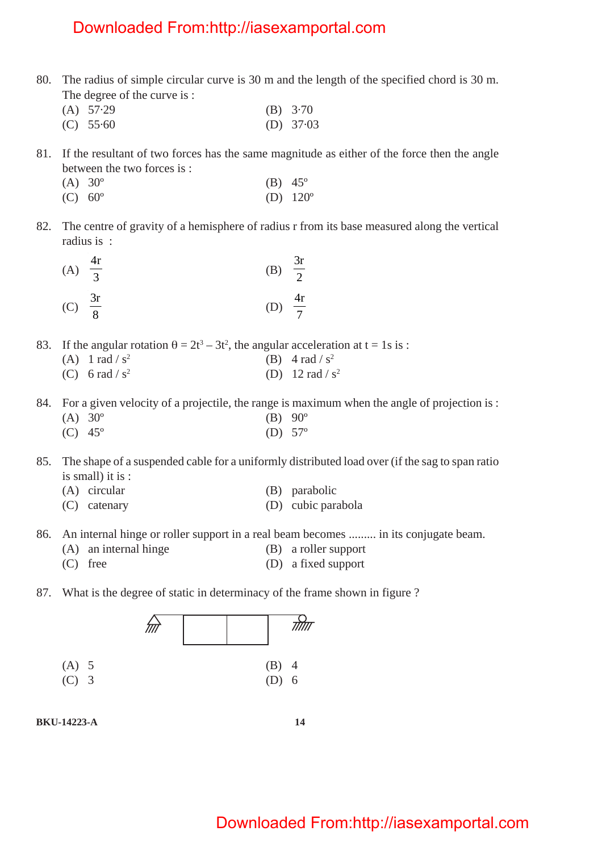- 80. The radius of simple circular curve is 30 m and the length of the specified chord is 30 m. The degree of the curve is :
	- (A) 57·29 (B) 3·70
	- (C) 55·60 (D) 37·03
- 81. If the resultant of two forces has the same magnitude as either of the force then the angle between the two forces is :
	- (A)  $30^{\circ}$  (B)  $45^{\circ}$
	- (C)  $60^{\circ}$  (D)  $120^{\circ}$
- 82. The centre of gravity of a hemisphere of radius r from its base measured along the vertical radius is :

| (A) $\frac{4r}{3}$ |              | (B) $\frac{3r}{2}$ |  |
|--------------------|--------------|--------------------|--|
| (C)                | $rac{3r}{8}$ | (D) $\frac{4r}{7}$ |  |

- 83. If the angular rotation  $\theta = 2t^3 3t^2$ , the angular acceleration at  $t = 1s$  is :
	- (A)  $1 \text{ rad } / \text{ s}^2$  (B)  $4 \text{ rad } / \text{ s}^2$
	- (C) 6 rad / s<sup>2</sup> (D) 12 rad / s<sup>2</sup>
- 84. For a given velocity of a projectile, the range is maximum when the angle of projection is :
	- $(A) 30^{\circ}$  (B) 90<sup>°</sup>
	- (C) 45º (D) 57º

85. The shape of a suspended cable for a uniformly distributed load over (if the sag to span ratio is small) it is :

- (A) circular (B) parabolic
- (C) catenary (D) cubic parabola
- 86. An internal hinge or roller support in a real beam becomes ......... in its conjugate beam.
	- (A) an internal hinge (B) a roller support
	- (C) free (D) a fixed support
- 87. What is the degree of static in determinacy of the frame shown in figure ?



**BKU-14223-A 14**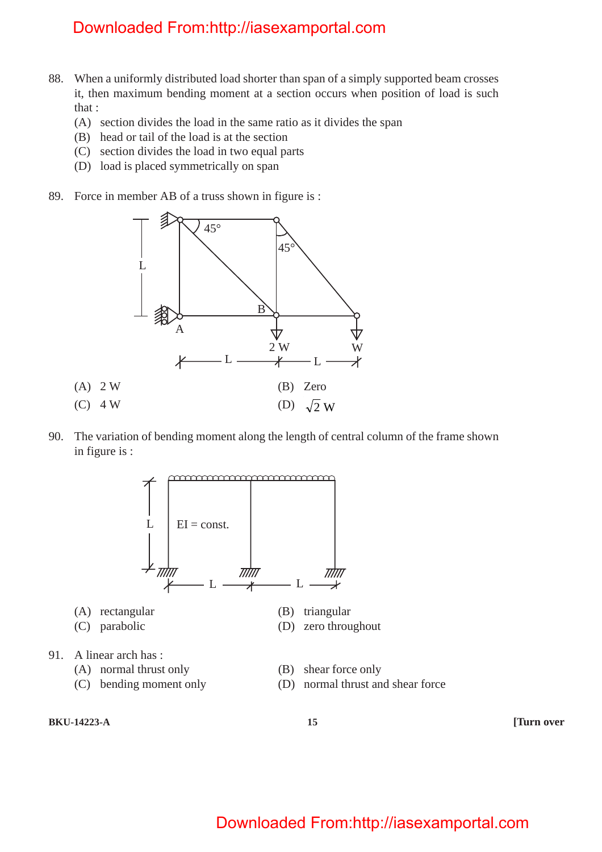- 88. When a uniformly distributed load shorter than span of a simply supported beam crosses it, then maximum bending moment at a section occurs when position of load is such that :
	- (A) section divides the load in the same ratio as it divides the span
	- (B) head or tail of the load is at the section
	- (C) section divides the load in two equal parts
	- (D) load is placed symmetrically on span
- 89. Force in member AB of a truss shown in figure is :



90. The variation of bending moment along the length of central column of the frame shown in figure is :



**BKU-14223-A 15 [Turn over**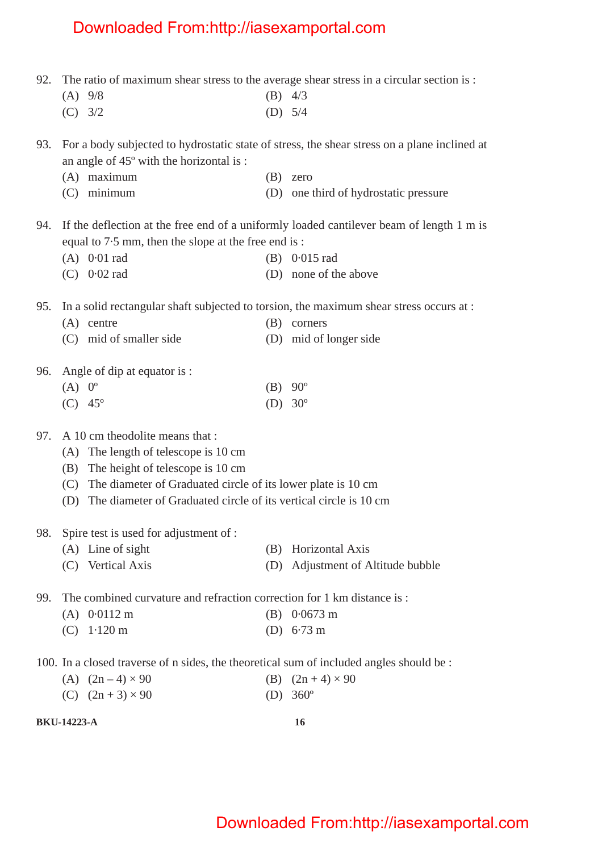92. The ratio of maximum shear stress to the average shear stress in a circular section is :

**BKU-14223-A 16** (A) 9/8 (B) 4/3 (C) 3/2 (D) 5/4 93. For a body subjected to hydrostatic state of stress, the shear stress on a plane inclined at an angle of 45º with the horizontal is : (A) maximum (B) zero (C) minimum (D) one third of hydrostatic pressure 94. If the deflection at the free end of a uniformly loaded cantilever beam of length 1 m is equal to 7·5 mm, then the slope at the free end is : (A) 0·01 rad (B) 0·015 rad (C) 0·02 rad (D) none of the above 95. In a solid rectangular shaft subjected to torsion, the maximum shear stress occurs at : (A) centre (B) corners (C) mid of smaller side (D) mid of longer side 96. Angle of dip at equator is : (A)  $0^{\circ}$  (B)  $90^{\circ}$ (C)  $45^{\circ}$  (D)  $30^{\circ}$ 97. A 10 cm theodolite means that : (A) The length of telescope is 10 cm (B) The height of telescope is 10 cm (C) The diameter of Graduated circle of its lower plate is 10 cm (D) The diameter of Graduated circle of its vertical circle is 10 cm 98. Spire test is used for adjustment of : (A) Line of sight (B) Horizontal Axis (C) Vertical Axis (D) Adjustment of Altitude bubble 99. The combined curvature and refraction correction for 1 km distance is : (A) 0·0112 m (B) 0·0673 m (C) 1·120 m (D) 6·73 m 100. In a closed traverse of n sides, the theoretical sum of included angles should be : (A)  $(2n-4) \times 90$  (B)  $(2n+4) \times 90$ (C)  $(2n + 3) \times 90$  (D) 360<sup>o</sup>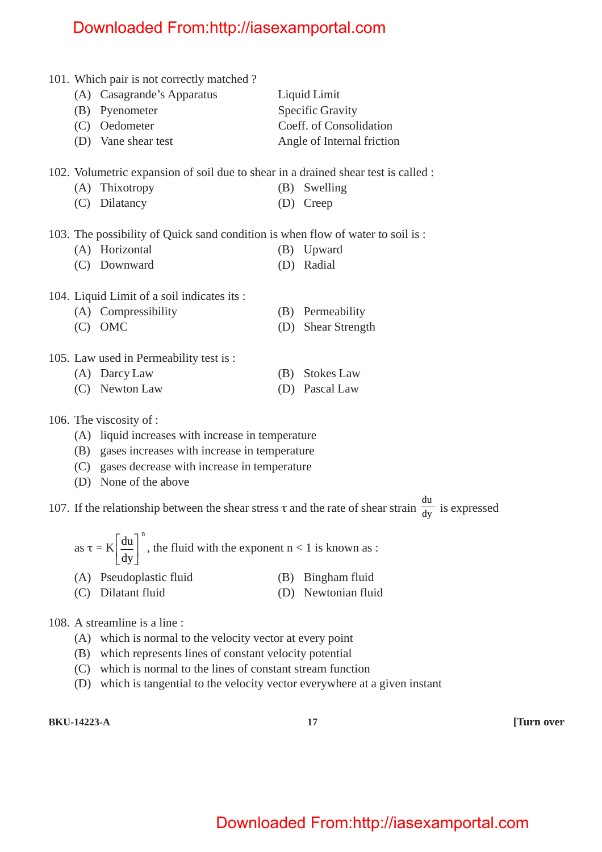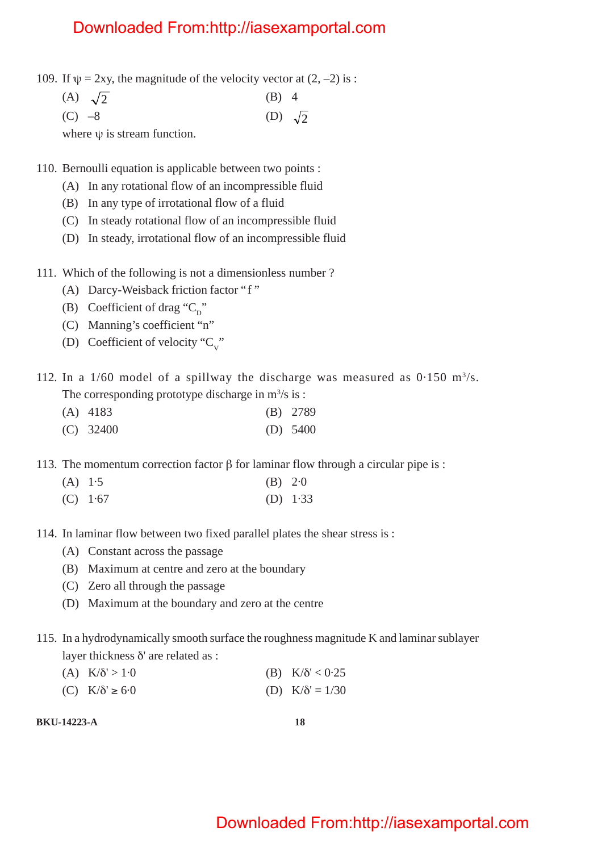- 109. If  $\psi = 2xy$ , the magnitude of the velocity vector at  $(2, -2)$  is :
	- (A)  $\sqrt{2}$  (B) 4
	- (C)  $-8$  (D)  $\sqrt{2}$

where  $\psi$  is stream function.

110. Bernoulli equation is applicable between two points :

- (A) In any rotational flow of an incompressible fluid
- (B) In any type of irrotational flow of a fluid
- (C) In steady rotational flow of an incompressible fluid
- (D) In steady, irrotational flow of an incompressible fluid
- 111. Which of the following is not a dimensionless number ?
	- (A) Darcy-Weisback friction factor "f "
	- (B) Coefficient of drag " $C_n$ "
	- (C) Manning's coefficient "n"
	- (D) Coefficient of velocity " $C_v$ "

112. In a  $1/60$  model of a spillway the discharge was measured as  $0.150$  m<sup>3</sup>/s. The corresponding prototype discharge in  $m^3/s$  is :

- (A) 4183 (B) 2789
- (C) 32400 (D) 5400

113. The momentum correction factor β for laminar flow through a circular pipe is :

- (A) 1·5 (B) 2·0
- (C) 1·67 (D) 1·33
- 114. In laminar flow between two fixed parallel plates the shear stress is :
	- (A) Constant across the passage
	- (B) Maximum at centre and zero at the boundary
	- (C) Zero all through the passage
	- (D) Maximum at the boundary and zero at the centre
- 115. In a hydrodynamically smooth surface the roughness magnitude K and laminar sublayer layer thickness δ' are related as :
	- (A)  $K/\delta' > 1.0$  (B)  $K/\delta' < 0.25$
	- (C)  $K/\delta' \ge 6.0$  (D)  $K/\delta' = 1/30$

**BKU-14223-A 18**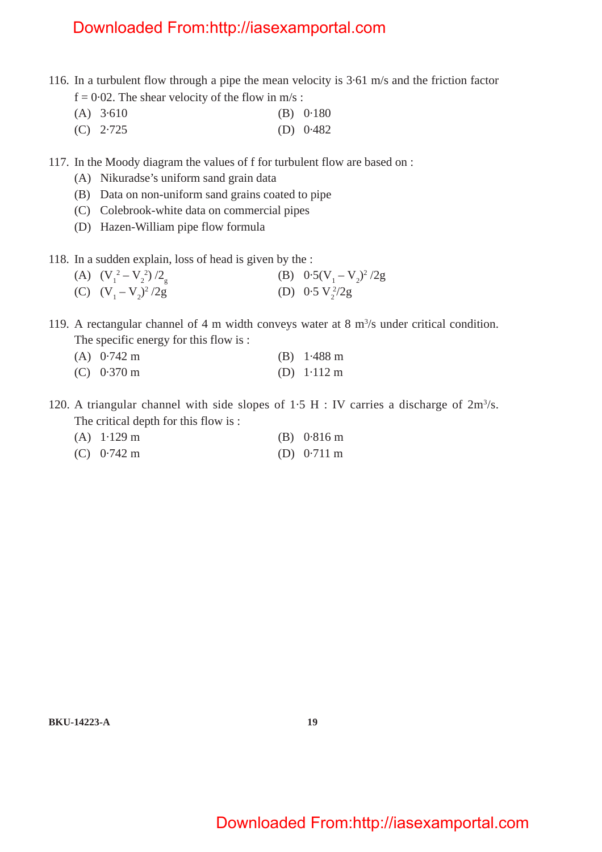- 116. In a turbulent flow through a pipe the mean velocity is 3·61 m/s and the friction factor  $f = 0.02$ . The shear velocity of the flow in m/s:
	- (A) 3·610 (B) 0·180
	- (C) 2·725 (D) 0·482
- 117. In the Moody diagram the values of f for turbulent flow are based on :
	- (A) Nikuradse's uniform sand grain data
	- (B) Data on non-uniform sand grains coated to pipe
	- (C) Colebrook-white data on commercial pipes
	- (D) Hazen-William pipe flow formula
- 118. In a sudden explain, loss of head is given by the :
	- (A)  $(V_1^2 V_2^2)$  $( B) \quad 0.5(V_1 - V_2)^2 / 2g$ (C)  $(V_1 - V_2)^2$  $/2g$  (D) 0.5 V<sub>2</sub> $/2g$
- 119. A rectangular channel of 4 m width conveys water at 8  $m<sup>3</sup>/s$  under critical condition. The specific energy for this flow is :
	- (A) 0·742 m (B) 1·488 m (C) 0·370 m (D) 1·112 m
- 120. A triangular channel with side slopes of  $1.5$  H : IV carries a discharge of  $2m<sup>3</sup>/s$ . The critical depth for this flow is :
	- (A) 1·129 m (B) 0·816 m (C) 0·742 m (D) 0·711 m

**BKU-14223-A 19**